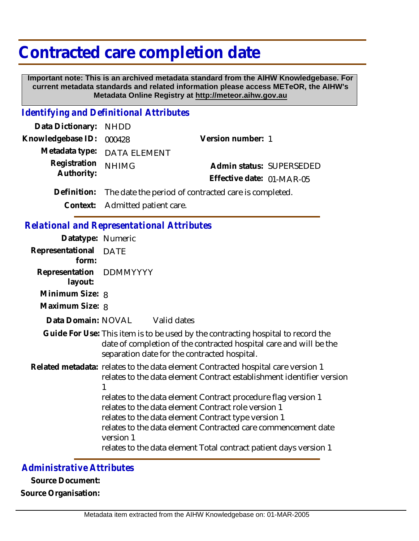## **Contracted care completion date**

 **Important note: This is an archived metadata standard from the AIHW Knowledgebase. For current metadata standards and related information please access METeOR, the AIHW's Metadata Online Registry at http://meteor.aihw.gov.au**

## *Identifying and Definitional Attributes*

| Data Dictionary: NHDD    |                                                                  |                           |  |
|--------------------------|------------------------------------------------------------------|---------------------------|--|
| Knowledgebase ID: 000428 |                                                                  | Version number: 1         |  |
|                          | Metadata type: DATA ELEMENT                                      |                           |  |
| Registration             | <b>NHIMG</b>                                                     | Admin status: SUPERSEDED  |  |
| Authority:               |                                                                  | Effective date: 01-MAR-05 |  |
|                          | Definition: The date the period of contracted care is completed. |                           |  |
|                          | Context: Admitted patient care.                                  |                           |  |

## *Relational and Representational Attributes*

| Datatype: Numeric                  |           |                                                                                                                                                                                                                                                                                                                                                                                                           |
|------------------------------------|-----------|-----------------------------------------------------------------------------------------------------------------------------------------------------------------------------------------------------------------------------------------------------------------------------------------------------------------------------------------------------------------------------------------------------------|
| Representational DATE<br>form:     |           |                                                                                                                                                                                                                                                                                                                                                                                                           |
| Representation DDMMYYYY<br>layout: |           |                                                                                                                                                                                                                                                                                                                                                                                                           |
| Minimum Size: 8                    |           |                                                                                                                                                                                                                                                                                                                                                                                                           |
| Maximum Size: 8                    |           |                                                                                                                                                                                                                                                                                                                                                                                                           |
| Data Domain: NOVAL Valid dates     |           |                                                                                                                                                                                                                                                                                                                                                                                                           |
|                                    |           | Guide For Use: This item is to be used by the contracting hospital to record the<br>date of completion of the contracted hospital care and will be the<br>separation date for the contracted hospital.                                                                                                                                                                                                    |
|                                    | version 1 | Related metadata: relates to the data element Contracted hospital care version 1<br>relates to the data element Contract establishment identifier version<br>relates to the data element Contract procedure flag version 1<br>relates to the data element Contract role version 1<br>relates to the data element Contract type version 1<br>relates to the data element Contracted care commencement date |
|                                    |           | relates to the data element Total contract patient days version 1                                                                                                                                                                                                                                                                                                                                         |

## *Administrative Attributes*

**Source Document: Source Organisation:**